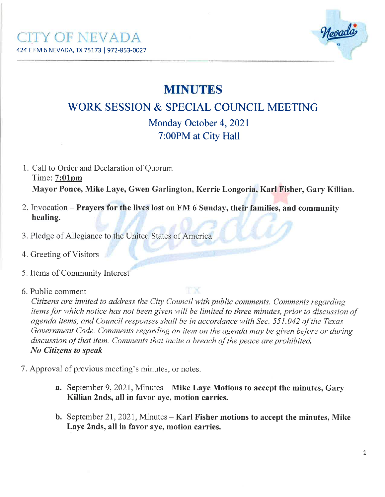

# **MINUTES**

## V/ORK SESSION & SPECIAL COUNCIL MEETING

Monday October 4, 2021 7:00PM at City Hall

- 1. Call to Order and Declaration of Quorum Time: 7:01pm Mayor Ponce, Mike Laye, Gwen Garlington, Kerrie Longoria, Karl Fisher, Gary Killian.
- 2.Invocation Prayers for the lives lost on FM 6 Sunday, their families, and community healing.
- 3. Pledge of Allegiance to the United States of America
- 4. Greeting of Visitors
- 5. Items of Community Interest
- 6. Public comment

Citizens are invited to address the Cíty Council with publíc comments. Comments regarding items for which notice has not been given will be limited to three minutes, prior to discussion of agenda items, and Council responses shall be in accordance with Sec. 551.042 of the Texas Government Code. Comments regarding an item on the agenda may be given before or during discussion of that item. Comments that incite a breach of the peace are prohibited. No Citizens to speøk

- 7. Approval of previous meeting's minutes, or notes.
	- a. September 9, 2021, Minutes Mike Laye Motions to accept the minutes, Gary Killian 2nds, all in favor aye, motion carries.
	- **b.** September 21, 2021, Minutes  $-$  Karl Fisher motions to accept the minutes, Mike Laye 2nds, all in favor aye, motion carries.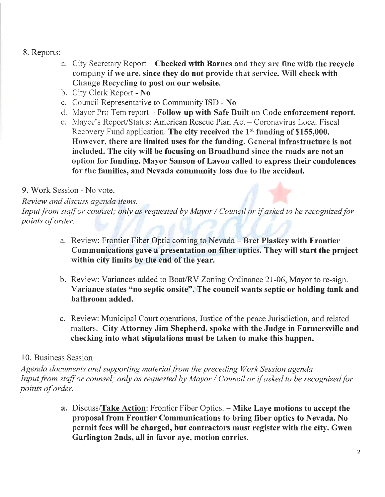#### 8. Reports:

- a. City Secretary Report Checked with Barnes and they are fine with the recycle compâny if we are, since they do not provide that seryice. Will check with Change Recycling to post on our website.
- b. Cify Clerk Report No
- c. Council Representative to Community  $ISD No$
- d. Mayor Pro Tem report  $-$  Follow up with Safe Built on Code enforcement report.
- e. Mayor's Report/Status: American Rescue Plan Act Coronavirus Local Fiscal Recovery Fund application. The city received the  $1<sup>st</sup>$  funding of \$155,000. However, there are limited uses for the funding. General infrastructure is not included. The city will be focusing on Broadband since the roads are not an option for funding. Mayor Sanson of Lavon called to express their condolences for the families, and Nevada community loss due to the accident.

#### 9. Work Session - No vote.

Review and discuss agenda items.

Input from staff or counsel; only as requested by Mayor / Council or if asked to be recognized for points of order.

- a. Review: Frontier Fiber Optic coming to Nevada Bret Plaskey with Frontier Communications gave a presentation on fiber optics. They will start the project within city limits by the end of the year.
- b. Review: Variances added to Boat/RV Zoning Ordinance 21-06, Mayor to re-sign. Variance states "no septic onsite". The council wants septic or holding tank and bathroom added.
- c. Review: Municipal Court operations, Justice of the peace Jurisdiction, and related matters. City Attorney Jim Shepherd, spoke with the Judge in Farmersville and checking into what stipulations must be taken to make this happen.

#### 10. Business Session

Agenda documents and supporting material from the preceding Work Session agenda Input from staff or counsel; only as requested by Mayor / Council or if asked to be recognized for points of order.

> a. Discuss/Take Action: Frontier Fiber Optics. - Mike Laye motions to accept the proposal from Frontier Communications to bring fiber optics to Nevada. No permit fees will be charged, but contractors must register with the city. Gwen Garlington 2nds, all in favor aye, motion carries.